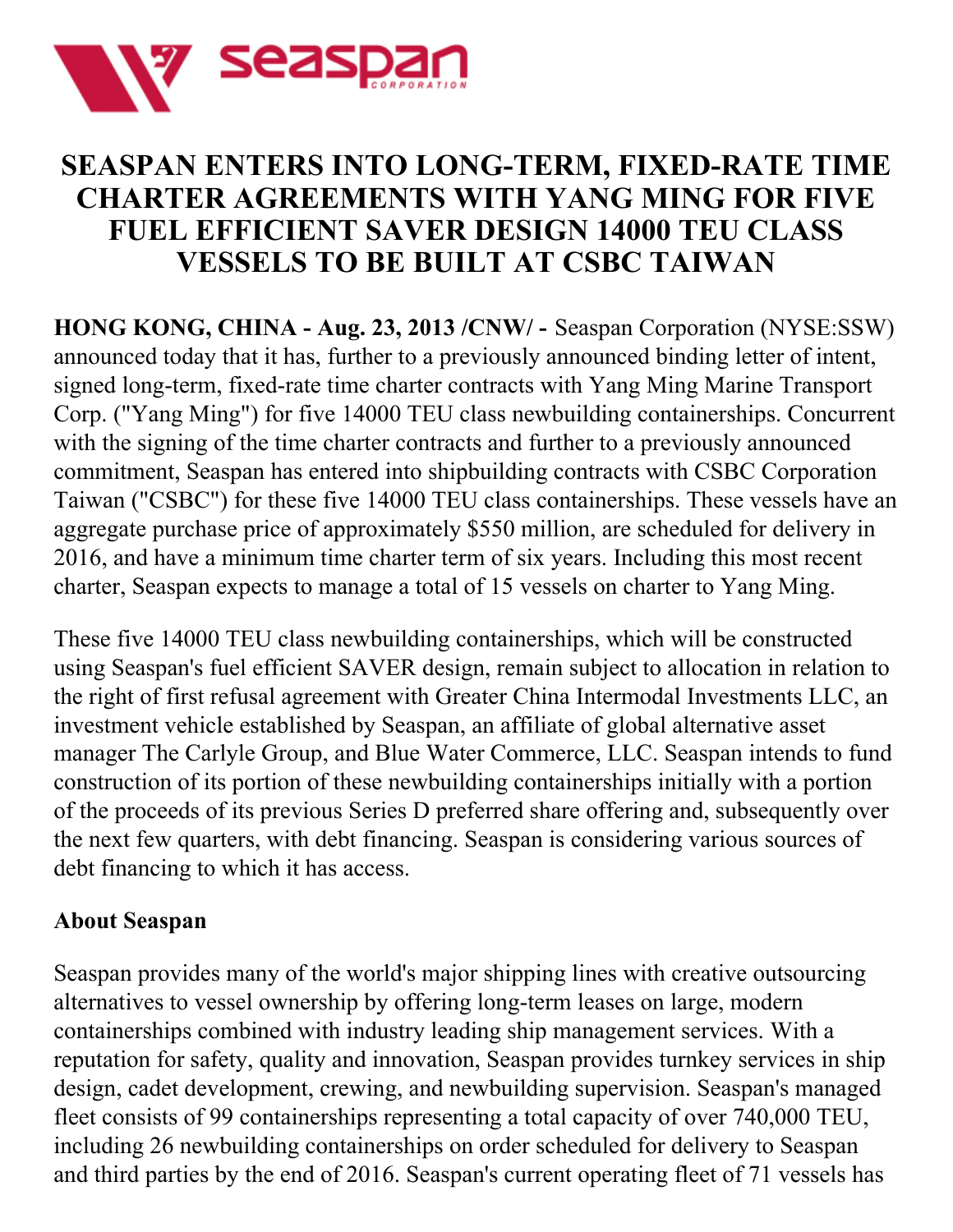

## **SEASPAN ENTERS INTO LONG-TERM, FIXED-RATE TIME CHARTER AGREEMENTS WITH YANG MING FOR FIVE FUEL EFFICIENT SAVER DESIGN 14000 TEU CLASS VESSELS TO BE BUILT AT CSBC TAIWAN**

**HONG KONG, CHINA - Aug. 23, 2013 /CNW/ -** Seaspan Corporation (NYSE:SSW) announced today that it has, further to a previously announced binding letter of intent, signed long-term, fixed-rate time charter contracts with Yang Ming Marine Transport Corp. ("Yang Ming") for five 14000 TEU class newbuilding containerships. Concurrent with the signing of the time charter contracts and further to a previously announced commitment, Seaspan has entered into shipbuilding contracts with CSBC Corporation Taiwan ("CSBC") for these five 14000 TEU class containerships. These vessels have an aggregate purchase price of approximately \$550 million, are scheduled for delivery in 2016, and have a minimum time charter term of six years. Including this most recent charter, Seaspan expects to manage a total of 15 vessels on charter to Yang Ming.

These five 14000 TEU class newbuilding containerships, which will be constructed using Seaspan's fuel efficient SAVER design, remain subject to allocation in relation to the right of first refusal agreement with Greater China Intermodal Investments LLC, an investment vehicle established by Seaspan, an affiliate of global alternative asset manager The Carlyle Group, and Blue Water Commerce, LLC. Seaspan intends to fund construction of its portion of these newbuilding containerships initially with a portion of the proceeds of its previous Series D preferred share offering and, subsequently over the next few quarters, with debt financing. Seaspan is considering various sources of debt financing to which it has access.

## **About Seaspan**

Seaspan provides many of the world's major shipping lines with creative outsourcing alternatives to vessel ownership by offering long-term leases on large, modern containerships combined with industry leading ship management services. With a reputation for safety, quality and innovation, Seaspan provides turnkey services in ship design, cadet development, crewing, and newbuilding supervision. Seaspan's managed fleet consists of 99 containerships representing a total capacity of over 740,000 TEU, including 26 newbuilding containerships on order scheduled for delivery to Seaspan and third parties by the end of 2016. Seaspan's current operating fleet of 71 vessels has